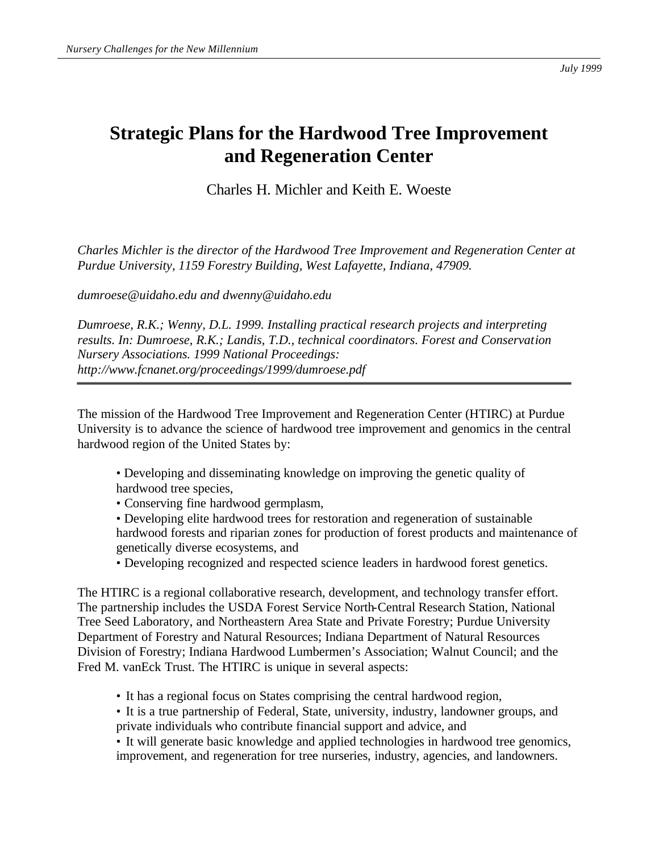## **Strategic Plans for the Hardwood Tree Improvement and Regeneration Center**

Charles H. Michler and Keith E. Woeste

*Charles Michler is the director of the Hardwood Tree Improvement and Regeneration Center at Purdue University, 1159 Forestry Building, West Lafayette, Indiana, 47909.*

*dumroese@uidaho.edu and dwenny@uidaho.edu*

*Dumroese, R.K.; Wenny, D.L. 1999. Installing practical research projects and interpreting results. In: Dumroese, R.K.; Landis, T.D., technical coordinators. Forest and Conservation Nursery Associations. 1999 National Proceedings: http://www.fcnanet.org/proceedings/1999/dumroese.pdf*

The mission of the Hardwood Tree Improvement and Regeneration Center (HTIRC) at Purdue University is to advance the science of hardwood tree improvement and genomics in the central hardwood region of the United States by:

- Developing and disseminating knowledge on improving the genetic quality of hardwood tree species,
- Conserving fine hardwood germplasm,
- Developing elite hardwood trees for restoration and regeneration of sustainable hardwood forests and riparian zones for production of forest products and maintenance of genetically diverse ecosystems, and
- Developing recognized and respected science leaders in hardwood forest genetics.

The HTIRC is a regional collaborative research, development, and technology transfer effort. The partnership includes the USDA Forest Service North-Central Research Station, National Tree Seed Laboratory, and Northeastern Area State and Private Forestry; Purdue University Department of Forestry and Natural Resources; Indiana Department of Natural Resources Division of Forestry; Indiana Hardwood Lumbermen's Association; Walnut Council; and the Fred M. vanEck Trust. The HTIRC is unique in several aspects:

- It has a regional focus on States comprising the central hardwood region,
- It is a true partnership of Federal, State, university, industry, landowner groups, and private individuals who contribute financial support and advice, and

• It will generate basic knowledge and applied technologies in hardwood tree genomics, improvement, and regeneration for tree nurseries, industry, agencies, and landowners.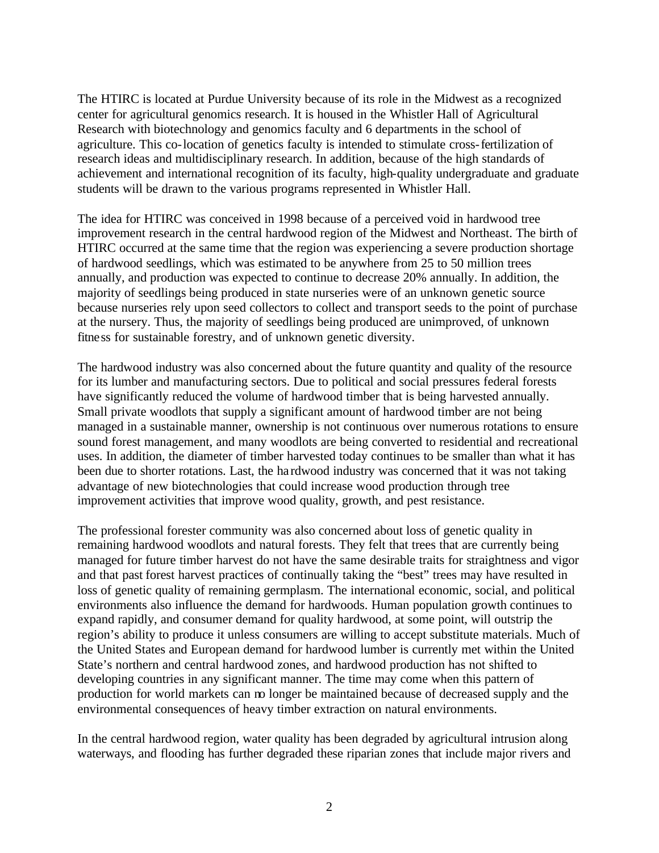The HTIRC is located at Purdue University because of its role in the Midwest as a recognized center for agricultural genomics research. It is housed in the Whistler Hall of Agricultural Research with biotechnology and genomics faculty and 6 departments in the school of agriculture. This co-location of genetics faculty is intended to stimulate cross-fertilization of research ideas and multidisciplinary research. In addition, because of the high standards of achievement and international recognition of its faculty, high-quality undergraduate and graduate students will be drawn to the various programs represented in Whistler Hall.

The idea for HTIRC was conceived in 1998 because of a perceived void in hardwood tree improvement research in the central hardwood region of the Midwest and Northeast. The birth of HTIRC occurred at the same time that the region was experiencing a severe production shortage of hardwood seedlings, which was estimated to be anywhere from 25 to 50 million trees annually, and production was expected to continue to decrease 20% annually. In addition, the majority of seedlings being produced in state nurseries were of an unknown genetic source because nurseries rely upon seed collectors to collect and transport seeds to the point of purchase at the nursery. Thus, the majority of seedlings being produced are unimproved, of unknown fitness for sustainable forestry, and of unknown genetic diversity.

The hardwood industry was also concerned about the future quantity and quality of the resource for its lumber and manufacturing sectors. Due to political and social pressures federal forests have significantly reduced the volume of hardwood timber that is being harvested annually. Small private woodlots that supply a significant amount of hardwood timber are not being managed in a sustainable manner, ownership is not continuous over numerous rotations to ensure sound forest management, and many woodlots are being converted to residential and recreational uses. In addition, the diameter of timber harvested today continues to be smaller than what it has been due to shorter rotations. Last, the ha rdwood industry was concerned that it was not taking advantage of new biotechnologies that could increase wood production through tree improvement activities that improve wood quality, growth, and pest resistance.

The professional forester community was also concerned about loss of genetic quality in remaining hardwood woodlots and natural forests. They felt that trees that are currently being managed for future timber harvest do not have the same desirable traits for straightness and vigor and that past forest harvest practices of continually taking the "best" trees may have resulted in loss of genetic quality of remaining germplasm. The international economic, social, and political environments also influence the demand for hardwoods. Human population growth continues to expand rapidly, and consumer demand for quality hardwood, at some point, will outstrip the region's ability to produce it unless consumers are willing to accept substitute materials. Much of the United States and European demand for hardwood lumber is currently met within the United State's northern and central hardwood zones, and hardwood production has not shifted to developing countries in any significant manner. The time may come when this pattern of production for world markets can no longer be maintained because of decreased supply and the environmental consequences of heavy timber extraction on natural environments.

In the central hardwood region, water quality has been degraded by agricultural intrusion along waterways, and flooding has further degraded these riparian zones that include major rivers and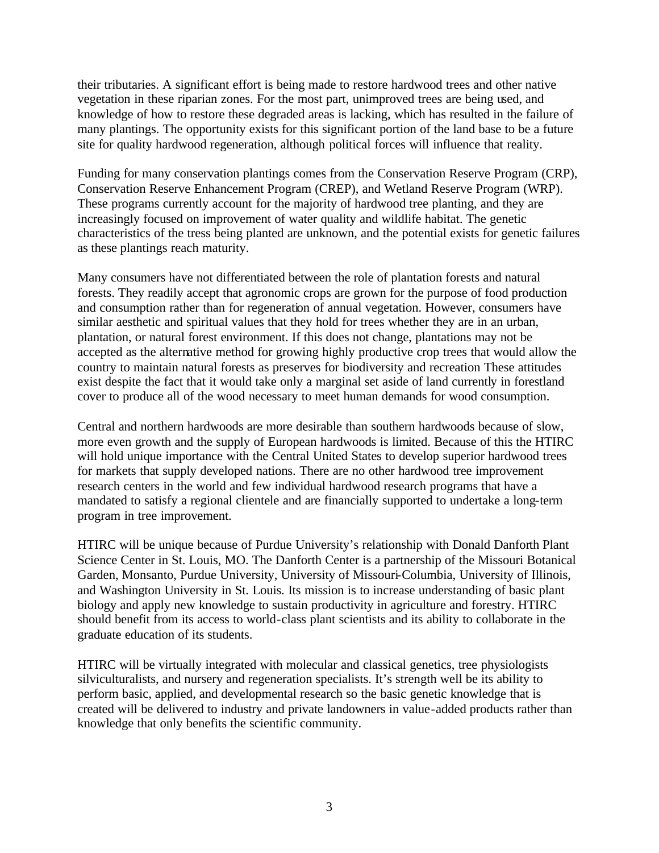their tributaries. A significant effort is being made to restore hardwood trees and other native vegetation in these riparian zones. For the most part, unimproved trees are being used, and knowledge of how to restore these degraded areas is lacking, which has resulted in the failure of many plantings. The opportunity exists for this significant portion of the land base to be a future site for quality hardwood regeneration, although political forces will influence that reality.

Funding for many conservation plantings comes from the Conservation Reserve Program (CRP), Conservation Reserve Enhancement Program (CREP), and Wetland Reserve Program (WRP). These programs currently account for the majority of hardwood tree planting, and they are increasingly focused on improvement of water quality and wildlife habitat. The genetic characteristics of the tress being planted are unknown, and the potential exists for genetic failures as these plantings reach maturity.

Many consumers have not differentiated between the role of plantation forests and natural forests. They readily accept that agronomic crops are grown for the purpose of food production and consumption rather than for regeneration of annual vegetation. However, consumers have similar aesthetic and spiritual values that they hold for trees whether they are in an urban, plantation, or natural forest environment. If this does not change, plantations may not be accepted as the alternative method for growing highly productive crop trees that would allow the country to maintain natural forests as preserves for biodiversity and recreation These attitudes exist despite the fact that it would take only a marginal set aside of land currently in forestland cover to produce all of the wood necessary to meet human demands for wood consumption.

Central and northern hardwoods are more desirable than southern hardwoods because of slow, more even growth and the supply of European hardwoods is limited. Because of this the HTIRC will hold unique importance with the Central United States to develop superior hardwood trees for markets that supply developed nations. There are no other hardwood tree improvement research centers in the world and few individual hardwood research programs that have a mandated to satisfy a regional clientele and are financially supported to undertake a long-term program in tree improvement.

HTIRC will be unique because of Purdue University's relationship with Donald Danforth Plant Science Center in St. Louis, MO. The Danforth Center is a partnership of the Missouri Botanical Garden, Monsanto, Purdue University, University of Missouri-Columbia, University of Illinois, and Washington University in St. Louis. Its mission is to increase understanding of basic plant biology and apply new knowledge to sustain productivity in agriculture and forestry. HTIRC should benefit from its access to world-class plant scientists and its ability to collaborate in the graduate education of its students.

HTIRC will be virtually integrated with molecular and classical genetics, tree physiologists silviculturalists, and nursery and regeneration specialists. It's strength well be its ability to perform basic, applied, and developmental research so the basic genetic knowledge that is created will be delivered to industry and private landowners in value-added products rather than knowledge that only benefits the scientific community.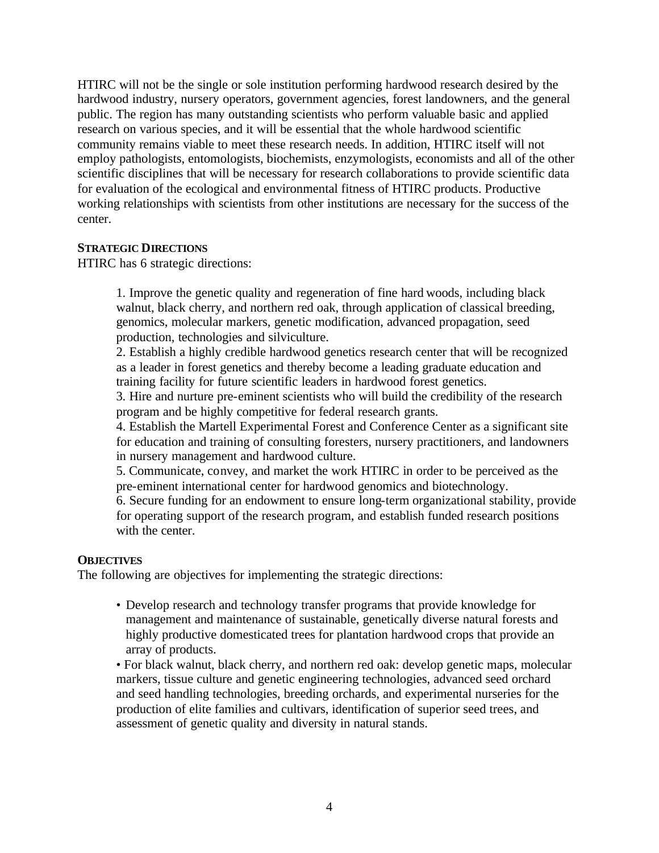HTIRC will not be the single or sole institution performing hardwood research desired by the hardwood industry, nursery operators, government agencies, forest landowners, and the general public. The region has many outstanding scientists who perform valuable basic and applied research on various species, and it will be essential that the whole hardwood scientific community remains viable to meet these research needs. In addition, HTIRC itself will not employ pathologists, entomologists, biochemists, enzymologists, economists and all of the other scientific disciplines that will be necessary for research collaborations to provide scientific data for evaluation of the ecological and environmental fitness of HTIRC products. Productive working relationships with scientists from other institutions are necessary for the success of the center.

## **STRATEGIC DIRECTIONS**

HTIRC has 6 strategic directions:

1. Improve the genetic quality and regeneration of fine hard woods, including black walnut, black cherry, and northern red oak, through application of classical breeding, genomics, molecular markers, genetic modification, advanced propagation, seed production, technologies and silviculture.

2. Establish a highly credible hardwood genetics research center that will be recognized as a leader in forest genetics and thereby become a leading graduate education and training facility for future scientific leaders in hardwood forest genetics.

3. Hire and nurture pre-eminent scientists who will build the credibility of the research program and be highly competitive for federal research grants.

4. Establish the Martell Experimental Forest and Conference Center as a significant site for education and training of consulting foresters, nursery practitioners, and landowners in nursery management and hardwood culture.

5. Communicate, convey, and market the work HTIRC in order to be perceived as the pre-eminent international center for hardwood genomics and biotechnology.

6. Secure funding for an endowment to ensure long-term organizational stability, provide for operating support of the research program, and establish funded research positions with the center.

## **OBJECTIVES**

The following are objectives for implementing the strategic directions:

- Develop research and technology transfer programs that provide knowledge for management and maintenance of sustainable, genetically diverse natural forests and highly productive domesticated trees for plantation hardwood crops that provide an array of products.
- For black walnut, black cherry, and northern red oak: develop genetic maps, molecular markers, tissue culture and genetic engineering technologies, advanced seed orchard and seed handling technologies, breeding orchards, and experimental nurseries for the production of elite families and cultivars, identification of superior seed trees, and assessment of genetic quality and diversity in natural stands.